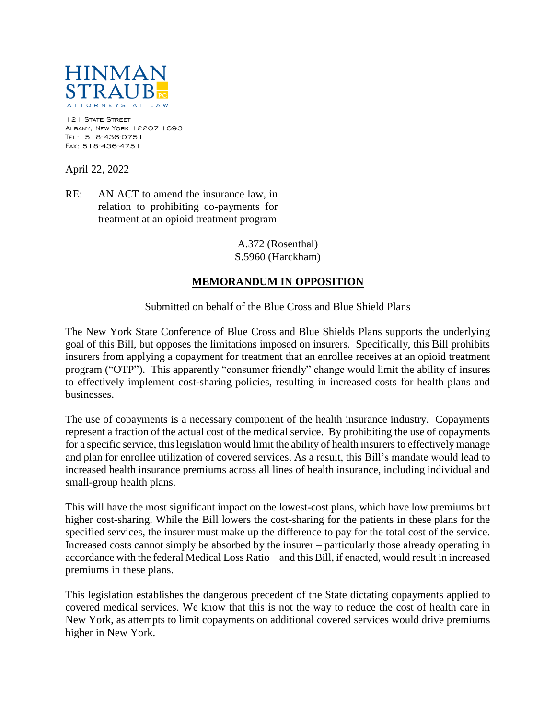

121 STATE STREET Albany, New York 12207-1693 Tel: 518-436-0751 Fax: 518-436-4751

April 22, 2022

RE: AN ACT to amend the insurance law, in relation to prohibiting co-payments for treatment at an opioid treatment program

> A.372 (Rosenthal) S.5960 (Harckham)

## **MEMORANDUM IN OPPOSITION**

Submitted on behalf of the Blue Cross and Blue Shield Plans

The New York State Conference of Blue Cross and Blue Shields Plans supports the underlying goal of this Bill, but opposes the limitations imposed on insurers. Specifically, this Bill prohibits insurers from applying a copayment for treatment that an enrollee receives at an opioid treatment program ("OTP"). This apparently "consumer friendly" change would limit the ability of insures to effectively implement cost-sharing policies, resulting in increased costs for health plans and businesses.

The use of copayments is a necessary component of the health insurance industry. Copayments represent a fraction of the actual cost of the medical service. By prohibiting the use of copayments for a specific service, this legislation would limit the ability of health insurers to effectively manage and plan for enrollee utilization of covered services. As a result, this Bill's mandate would lead to increased health insurance premiums across all lines of health insurance, including individual and small-group health plans.

This will have the most significant impact on the lowest-cost plans, which have low premiums but higher cost-sharing. While the Bill lowers the cost-sharing for the patients in these plans for the specified services, the insurer must make up the difference to pay for the total cost of the service. Increased costs cannot simply be absorbed by the insurer – particularly those already operating in accordance with the federal Medical Loss Ratio – and this Bill, if enacted, would result in increased premiums in these plans.

This legislation establishes the dangerous precedent of the State dictating copayments applied to covered medical services. We know that this is not the way to reduce the cost of health care in New York, as attempts to limit copayments on additional covered services would drive premiums higher in New York.